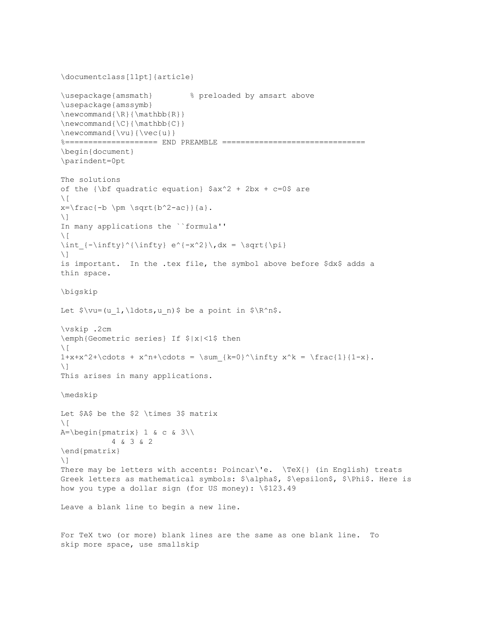```
\documentclass[11pt]{article}
\usepackage{amsmath} % preloaded by amsart above
\usepackage{amssymb}
\newcommand{\R}{\mathbb{R}}\newcommand{\C}{\mathbb{C}}\newcommand{\vspace}{\vspace{2mm} \verb|vu|} {\vee\vee {\vee} {\vee}%==================== END PREAMBLE ===============================
\begin{document}
\parindent=0pt
The solutions 
of the {\bf quadratic equation} \frac{2 + 2bx + c=0$ are
\setminus [
x=\frac{-b \pm \sqrt{b^2-ac}}{a}.\setminus]
In many applications the ``formula''
\setminus [
\int {-\infty}^{\{ \infty \} e^{ -x^2} \}, dx = \sqrt{\pi}\setminus]
is important. In the .tex file, the symbol above before $dx$ adds a 
thin space.
\bigskip
Let \varphi(u_1,\ldots,u_n) be a point in \R^n.
\vskip .2cm
\emph{Geometric series} If $|x|<1$ then
\setminus [
1+x+x^2+\cdots + x^n+\cdots = \sum_{k=0}^{\infty} x^k = \frac{1}{1-x}.\setminus]
This arises in many applications.
\medskip
Let $A$ be the $2 \times 3$ matrix
\setminus[
A=\begin{bmatrix}pmatrix&1&6&c&3\end{bmatrix} 4 & 3 & 2
\end{pmatrix}
\setminus]
There may be letters with accents: Poincar\'e. \TeX{} (in English) treats
Greek letters as mathematical symbols: $\alpha$, $\epsilon$, $\Phi$. Here is
how you type a dollar sign (for US money): \$123.49 
Leave a blank line to begin a new line. 
For TeX two (or more) blank lines are the same as one blank line. To
skip more space, use smallskip
```